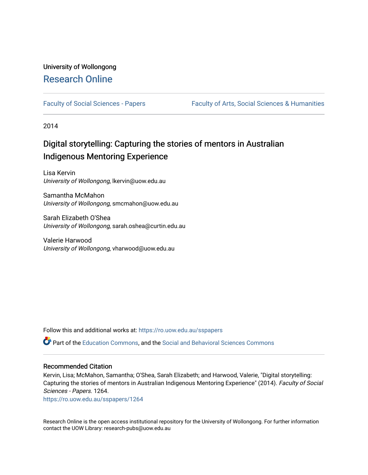# University of Wollongong [Research Online](https://ro.uow.edu.au/)

[Faculty of Social Sciences - Papers](https://ro.uow.edu.au/sspapers) Faculty of Arts, Social Sciences & Humanities

2014

# Digital storytelling: Capturing the stories of mentors in Australian Indigenous Mentoring Experience

Lisa Kervin University of Wollongong, lkervin@uow.edu.au

Samantha McMahon University of Wollongong, smcmahon@uow.edu.au

Sarah Elizabeth O'Shea University of Wollongong, sarah.oshea@curtin.edu.au

Valerie Harwood University of Wollongong, vharwood@uow.edu.au

Follow this and additional works at: [https://ro.uow.edu.au/sspapers](https://ro.uow.edu.au/sspapers?utm_source=ro.uow.edu.au%2Fsspapers%2F1264&utm_medium=PDF&utm_campaign=PDFCoverPages) 

Part of the [Education Commons](http://network.bepress.com/hgg/discipline/784?utm_source=ro.uow.edu.au%2Fsspapers%2F1264&utm_medium=PDF&utm_campaign=PDFCoverPages), and the [Social and Behavioral Sciences Commons](http://network.bepress.com/hgg/discipline/316?utm_source=ro.uow.edu.au%2Fsspapers%2F1264&utm_medium=PDF&utm_campaign=PDFCoverPages) 

#### Recommended Citation

Kervin, Lisa; McMahon, Samantha; O'Shea, Sarah Elizabeth; and Harwood, Valerie, "Digital storytelling: Capturing the stories of mentors in Australian Indigenous Mentoring Experience" (2014). Faculty of Social Sciences - Papers. 1264.

[https://ro.uow.edu.au/sspapers/1264](https://ro.uow.edu.au/sspapers/1264?utm_source=ro.uow.edu.au%2Fsspapers%2F1264&utm_medium=PDF&utm_campaign=PDFCoverPages)

Research Online is the open access institutional repository for the University of Wollongong. For further information contact the UOW Library: research-pubs@uow.edu.au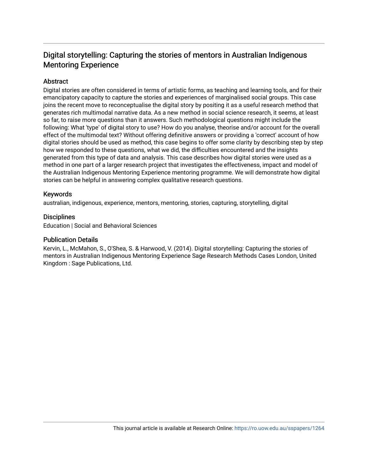## Digital storytelling: Capturing the stories of mentors in Australian Indigenous Mentoring Experience

## **Abstract**

Digital stories are often considered in terms of artistic forms, as teaching and learning tools, and for their emancipatory capacity to capture the stories and experiences of marginalised social groups. This case joins the recent move to reconceptualise the digital story by positing it as a useful research method that generates rich multimodal narrative data. As a new method in social science research, it seems, at least so far, to raise more questions than it answers. Such methodological questions might include the following: What 'type' of digital story to use? How do you analyse, theorise and/or account for the overall effect of the multimodal text? Without offering definitive answers or providing a 'correct' account of how digital stories should be used as method, this case begins to offer some clarity by describing step by step how we responded to these questions, what we did, the difficulties encountered and the insights generated from this type of data and analysis. This case describes how digital stories were used as a method in one part of a larger research project that investigates the effectiveness, impact and model of the Australian Indigenous Mentoring Experience mentoring programme. We will demonstrate how digital stories can be helpful in answering complex qualitative research questions.

## Keywords

australian, indigenous, experience, mentors, mentoring, stories, capturing, storytelling, digital

## **Disciplines**

Education | Social and Behavioral Sciences

#### Publication Details

Kervin, L., McMahon, S., O'Shea, S. & Harwood, V. (2014). Digital storytelling: Capturing the stories of mentors in Australian Indigenous Mentoring Experience Sage Research Methods Cases London, United Kingdom : Sage Publications, Ltd.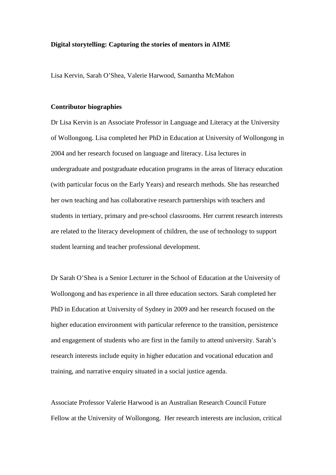#### **Digital storytelling: Capturing the stories of mentors in AIME**

Lisa Kervin, Sarah O'Shea, Valerie Harwood, Samantha McMahon

#### **Contributor biographies**

Dr Lisa Kervin is an Associate Professor in Language and Literacy at the University of Wollongong. Lisa completed her PhD in Education at University of Wollongong in 2004 and her research focused on language and literacy. Lisa lectures in undergraduate and postgraduate education programs in the areas of literacy education (with particular focus on the Early Years) and research methods. She has researched her own teaching and has collaborative research partnerships with teachers and students in tertiary, primary and pre-school classrooms. Her current research interests are related to the literacy development of children, the use of technology to support student learning and teacher professional development.

Dr Sarah O'Shea is a Senior Lecturer in the School of Education at the University of Wollongong and has experience in all three education sectors. Sarah completed her PhD in Education at University of Sydney in 2009 and her research focused on the higher education environment with particular reference to the transition, persistence and engagement of students who are first in the family to attend university. Sarah's research interests include equity in higher education and vocational education and training, and narrative enquiry situated in a social justice agenda.

Associate Professor Valerie Harwood is an Australian Research Council Future Fellow at the University of Wollongong. Her research interests are inclusion, critical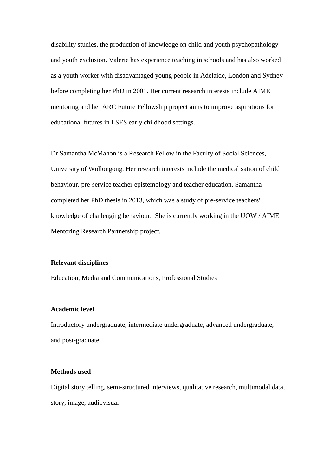disability studies, the production of knowledge on child and youth psychopathology and youth exclusion. Valerie has experience teaching in schools and has also worked as a youth worker with disadvantaged young people in Adelaide, London and Sydney before completing her PhD in 2001. Her current research interests include AIME mentoring and her ARC Future Fellowship project aims to improve aspirations for educational futures in LSES early childhood settings.

Dr Samantha McMahon is a Research Fellow in the Faculty of Social Sciences, University of Wollongong. Her research interests include the medicalisation of child behaviour, pre-service teacher epistemology and teacher education. Samantha completed her PhD thesis in 2013, which was a study of pre-service teachers' knowledge of challenging behaviour. She is currently working in the UOW / AIME Mentoring Research Partnership project.

## **Relevant disciplines**

Education, Media and Communications, Professional Studies

## **Academic level**

Introductory undergraduate, intermediate undergraduate, advanced undergraduate, and post-graduate

#### **Methods used**

Digital story telling, semi-structured interviews, qualitative research, multimodal data, story, image, audiovisual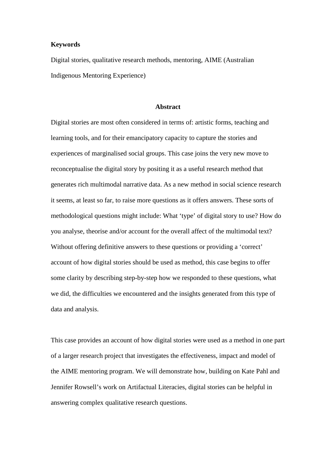#### **Keywords**

Digital stories, qualitative research methods, mentoring, AIME (Australian Indigenous Mentoring Experience)

#### **Abstract**

Digital stories are most often considered in terms of: artistic forms, teaching and learning tools, and for their emancipatory capacity to capture the stories and experiences of marginalised social groups. This case joins the very new move to reconceptualise the digital story by positing it as a useful research method that generates rich multimodal narrative data. As a new method in social science research it seems, at least so far, to raise more questions as it offers answers. These sorts of methodological questions might include: What 'type' of digital story to use? How do you analyse, theorise and/or account for the overall affect of the multimodal text? Without offering definitive answers to these questions or providing a 'correct' account of how digital stories should be used as method, this case begins to offer some clarity by describing step-by-step how we responded to these questions, what we did, the difficulties we encountered and the insights generated from this type of data and analysis.

This case provides an account of how digital stories were used as a method in one part of a larger research project that investigates the effectiveness, impact and model of the AIME mentoring program. We will demonstrate how, building on Kate Pahl and Jennifer Rowsell's work on Artifactual Literacies, digital stories can be helpful in answering complex qualitative research questions.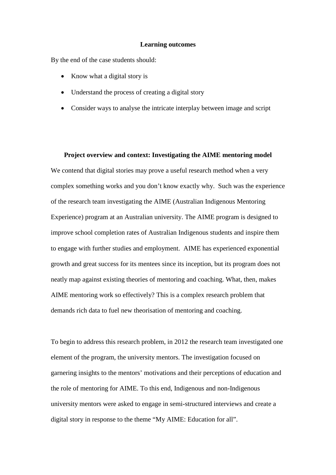#### **Learning outcomes**

By the end of the case students should:

- Know what a digital story is
- Understand the process of creating a digital story
- Consider ways to analyse the intricate interplay between image and script

**Project overview and context: Investigating the AIME mentoring model** We contend that digital stories may prove a useful research method when a very complex something works and you don't know exactly why. Such was the experience of the research team investigating the AIME (Australian Indigenous Mentoring Experience) program at an Australian university. The AIME program is designed to improve school completion rates of Australian Indigenous students and inspire them to engage with further studies and employment. AIME has experienced exponential growth and great success for its mentees since its inception, but its program does not neatly map against existing theories of mentoring and coaching. What, then, makes AIME mentoring work so effectively? This is a complex research problem that demands rich data to fuel new theorisation of mentoring and coaching.

To begin to address this research problem, in 2012 the research team investigated one element of the program, the university mentors. The investigation focused on garnering insights to the mentors' motivations and their perceptions of education and the role of mentoring for AIME. To this end, Indigenous and non-Indigenous university mentors were asked to engage in semi-structured interviews and create a digital story in response to the theme "My AIME: Education for all".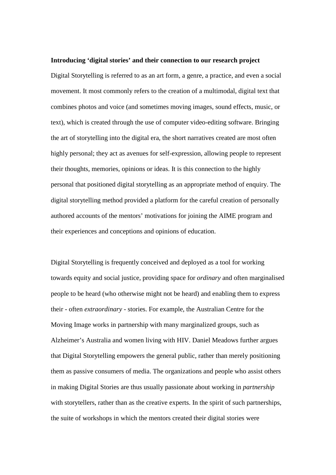#### **Introducing 'digital stories' and their connection to our research project**

Digital Storytelling is referred to as an art form, a genre, a practice, and even a social movement. It most commonly refers to the creation of a multimodal, digital text that combines photos and voice (and sometimes moving images, sound effects, music, or text), which is created through the use of computer video-editing software. Bringing the art of storytelling into the digital era, the short narratives created are most often highly personal; they act as avenues for self-expression, allowing people to represent their thoughts, memories, opinions or ideas. It is this connection to the highly personal that positioned digital storytelling as an appropriate method of enquiry. The digital storytelling method provided a platform for the careful creation of personally authored accounts of the mentors' motivations for joining the AIME program and their experiences and conceptions and opinions of education.

Digital Storytelling is frequently conceived and deployed as a tool for working towards equity and social justice, providing space for *ordinary* and often marginalised people to be heard (who otherwise might not be heard) and enabling them to express their - often *extraordinary* - stories. For example, the Australian Centre for the Moving Image works in partnership with many marginalized groups, such as Alzheimer's Australia and women living with HIV. Daniel Meadows further argues that Digital Storytelling empowers the general public, rather than merely positioning them as passive consumers of media. The organizations and people who assist others in making Digital Stories are thus usually passionate about working in *partnership* with storytellers, rather than as the creative experts. In the spirit of such partnerships, the suite of workshops in which the mentors created their digital stories were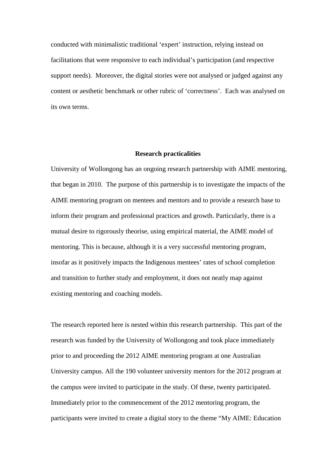conducted with minimalistic traditional 'expert' instruction, relying instead on facilitations that were responsive to each individual's participation (and respective support needs). Moreover, the digital stories were not analysed or judged against any content or aesthetic benchmark or other rubric of 'correctness'. Each was analysed on its own terms.

#### **Research practicalities**

University of Wollongong has an ongoing research partnership with AIME mentoring, that began in 2010. The purpose of this partnership is to investigate the impacts of the AIME mentoring program on mentees and mentors and to provide a research base to inform their program and professional practices and growth. Particularly, there is a mutual desire to rigorously theorise, using empirical material, the AIME model of mentoring. This is because, although it is a very successful mentoring program, insofar as it positively impacts the Indigenous mentees' rates of school completion and transition to further study and employment, it does not neatly map against existing mentoring and coaching models.

The research reported here is nested within this research partnership. This part of the research was funded by the University of Wollongong and took place immediately prior to and proceeding the 2012 AIME mentoring program at one Australian University campus. All the 190 volunteer university mentors for the 2012 program at the campus were invited to participate in the study. Of these, twenty participated. Immediately prior to the commencement of the 2012 mentoring program, the participants were invited to create a digital story to the theme "My AIME: Education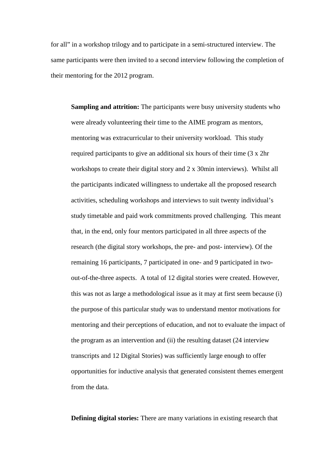for all" in a workshop trilogy and to participate in a semi-structured interview. The same participants were then invited to a second interview following the completion of their mentoring for the 2012 program.

**Sampling and attrition:** The participants were busy university students who were already volunteering their time to the AIME program as mentors, mentoring was extracurricular to their university workload. This study required participants to give an additional six hours of their time (3 x 2hr workshops to create their digital story and 2 x 30min interviews). Whilst all the participants indicated willingness to undertake all the proposed research activities, scheduling workshops and interviews to suit twenty individual's study timetable and paid work commitments proved challenging. This meant that, in the end, only four mentors participated in all three aspects of the research (the digital story workshops, the pre- and post- interview). Of the remaining 16 participants, 7 participated in one- and 9 participated in twoout-of-the-three aspects. A total of 12 digital stories were created. However, this was not as large a methodological issue as it may at first seem because (i) the purpose of this particular study was to understand mentor motivations for mentoring and their perceptions of education, and not to evaluate the impact of the program as an intervention and (ii) the resulting dataset (24 interview transcripts and 12 Digital Stories) was sufficiently large enough to offer opportunities for inductive analysis that generated consistent themes emergent from the data.

**Defining digital stories:** There are many variations in existing research that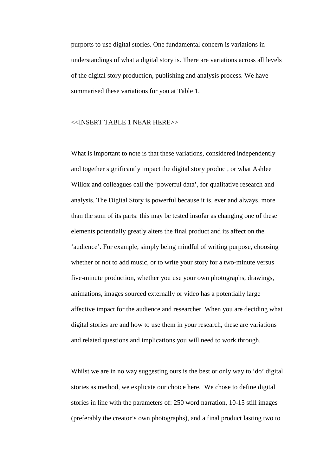purports to use digital stories. One fundamental concern is variations in understandings of what a digital story is. There are variations across all levels of the digital story production, publishing and analysis process. We have summarised these variations for you at Table 1.

#### <<INSERT TABLE 1 NEAR HERE>>

What is important to note is that these variations, considered independently and together significantly impact the digital story product, or what Ashlee Willox and colleagues call the 'powerful data', for qualitative research and analysis. The Digital Story is powerful because it is, ever and always, more than the sum of its parts: this may be tested insofar as changing one of these elements potentially greatly alters the final product and its affect on the 'audience'. For example, simply being mindful of writing purpose, choosing whether or not to add music, or to write your story for a two-minute versus five-minute production, whether you use your own photographs, drawings, animations, images sourced externally or video has a potentially large affective impact for the audience and researcher. When you are deciding what digital stories are and how to use them in your research, these are variations and related questions and implications you will need to work through.

Whilst we are in no way suggesting ours is the best or only way to 'do' digital stories as method, we explicate our choice here. We chose to define digital stories in line with the parameters of: 250 word narration, 10-15 still images (preferably the creator's own photographs), and a final product lasting two to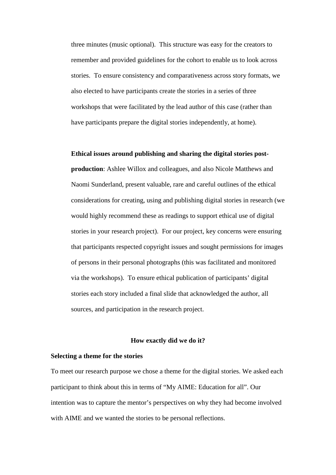three minutes (music optional). This structure was easy for the creators to remember and provided guidelines for the cohort to enable us to look across stories. To ensure consistency and comparativeness across story formats, we also elected to have participants create the stories in a series of three workshops that were facilitated by the lead author of this case (rather than have participants prepare the digital stories independently, at home).

#### **Ethical issues around publishing and sharing the digital stories post-**

**production**: Ashlee Willox and colleagues, and also Nicole Matthews and Naomi Sunderland, present valuable, rare and careful outlines of the ethical considerations for creating, using and publishing digital stories in research (we would highly recommend these as readings to support ethical use of digital stories in your research project). For our project, key concerns were ensuring that participants respected copyright issues and sought permissions for images of persons in their personal photographs (this was facilitated and monitored via the workshops). To ensure ethical publication of participants' digital stories each story included a final slide that acknowledged the author, all sources, and participation in the research project.

## **How exactly did we do it?**

#### **Selecting a theme for the stories**

To meet our research purpose we chose a theme for the digital stories. We asked each participant to think about this in terms of "My AIME: Education for all". Our intention was to capture the mentor's perspectives on why they had become involved with AIME and we wanted the stories to be personal reflections.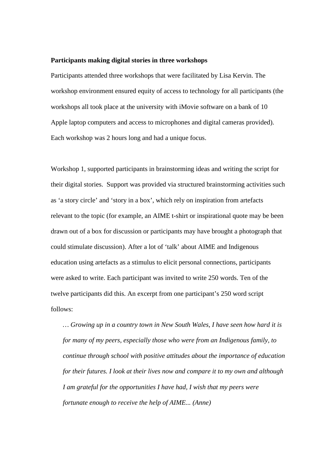#### **Participants making digital stories in three workshops**

Participants attended three workshops that were facilitated by Lisa Kervin. The workshop environment ensured equity of access to technology for all participants (the workshops all took place at the university with iMovie software on a bank of 10 Apple laptop computers and access to microphones and digital cameras provided). Each workshop was 2 hours long and had a unique focus.

Workshop 1, supported participants in brainstorming ideas and writing the script for their digital stories. Support was provided via structured brainstorming activities such as 'a story circle' and 'story in a box', which rely on inspiration from artefacts relevant to the topic (for example, an AIME t-shirt or inspirational quote may be been drawn out of a box for discussion or participants may have brought a photograph that could stimulate discussion). After a lot of 'talk' about AIME and Indigenous education using artefacts as a stimulus to elicit personal connections, participants were asked to write. Each participant was invited to write 250 words. Ten of the twelve participants did this. An excerpt from one participant's 250 word script follows:

*… Growing up in a country town in New South Wales, I have seen how hard it is for many of my peers, especially those who were from an Indigenous family, to continue through school with positive attitudes about the importance of education for their futures. I look at their lives now and compare it to my own and although I am grateful for the opportunities I have had, I wish that my peers were fortunate enough to receive the help of AIME... (Anne)*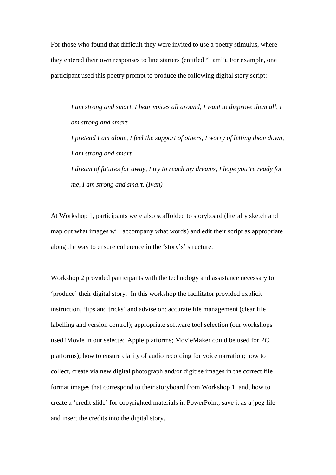For those who found that difficult they were invited to use a poetry stimulus, where they entered their own responses to line starters (entitled "I am"). For example, one participant used this poetry prompt to produce the following digital story script:

*I am strong and smart, I hear voices all around, I want to disprove them all, I am strong and smart.* 

*I pretend I am alone, I feel the support of others, I worry of letting them down, I am strong and smart.*

*I dream of futures far away, I try to reach my dreams, I hope you're ready for me, I am strong and smart. (Ivan)*

At Workshop 1, participants were also scaffolded to storyboard (literally sketch and map out what images will accompany what words) and edit their script as appropriate along the way to ensure coherence in the 'story's' structure.

Workshop 2 provided participants with the technology and assistance necessary to 'produce' their digital story. In this workshop the facilitator provided explicit instruction, 'tips and tricks' and advise on: accurate file management (clear file labelling and version control); appropriate software tool selection (our workshops used iMovie in our selected Apple platforms; MovieMaker could be used for PC platforms); how to ensure clarity of audio recording for voice narration; how to collect, create via new digital photograph and/or digitise images in the correct file format images that correspond to their storyboard from Workshop 1; and, how to create a 'credit slide' for copyrighted materials in PowerPoint, save it as a jpeg file and insert the credits into the digital story.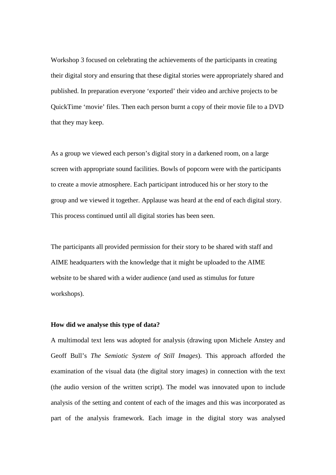Workshop 3 focused on celebrating the achievements of the participants in creating their digital story and ensuring that these digital stories were appropriately shared and published. In preparation everyone 'exported' their video and archive projects to be QuickTime 'movie' files. Then each person burnt a copy of their movie file to a DVD that they may keep.

As a group we viewed each person's digital story in a darkened room, on a large screen with appropriate sound facilities. Bowls of popcorn were with the participants to create a movie atmosphere. Each participant introduced his or her story to the group and we viewed it together. Applause was heard at the end of each digital story. This process continued until all digital stories has been seen.

The participants all provided permission for their story to be shared with staff and AIME headquarters with the knowledge that it might be uploaded to the AIME website to be shared with a wider audience (and used as stimulus for future workshops).

## **How did we analyse this type of data?**

A multimodal text lens was adopted for analysis (drawing upon Michele Anstey and Geoff Bull's *The Semiotic System of Still Images*). This approach afforded the examination of the visual data (the digital story images) in connection with the text (the audio version of the written script). The model was innovated upon to include analysis of the setting and content of each of the images and this was incorporated as part of the analysis framework. Each image in the digital story was analysed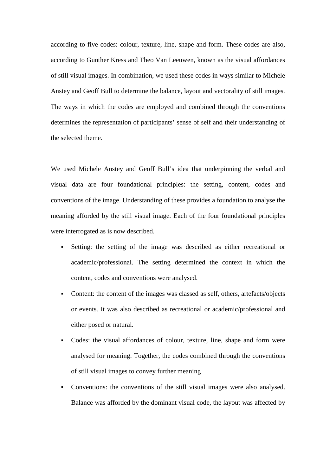according to five codes: colour, texture, line, shape and form. These codes are also, according to Gunther Kress and Theo Van Leeuwen, known as the visual affordances of still visual images. In combination, we used these codes in ways similar to Michele Anstey and Geoff Bull to determine the balance, layout and vectorality of still images. The ways in which the codes are employed and combined through the conventions determines the representation of participants' sense of self and their understanding of the selected theme.

We used Michele Anstey and Geoff Bull's idea that underpinning the verbal and visual data are four foundational principles: the setting, content, codes and conventions of the image. Understanding of these provides a foundation to analyse the meaning afforded by the still visual image. Each of the four foundational principles were interrogated as is now described.

- Setting: the setting of the image was described as either recreational or academic/professional. The setting determined the context in which the content, codes and conventions were analysed.
- Content: the content of the images was classed as self, others, artefacts/objects or events. It was also described as recreational or academic/professional and either posed or natural.
- Codes: the visual affordances of colour, texture, line, shape and form were analysed for meaning. Together, the codes combined through the conventions of still visual images to convey further meaning
- Conventions: the conventions of the still visual images were also analysed. Balance was afforded by the dominant visual code, the layout was affected by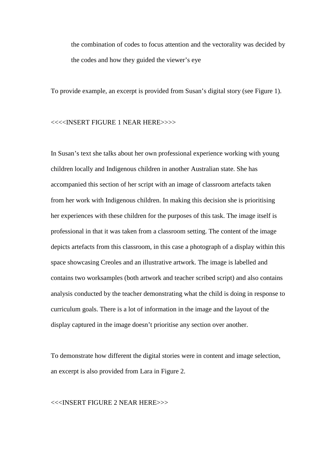the combination of codes to focus attention and the vectorality was decided by the codes and how they guided the viewer's eye

To provide example, an excerpt is provided from Susan's digital story (see Figure 1).

<<<<INSERT FIGURE 1 NEAR HERE>>>>

In Susan's text she talks about her own professional experience working with young children locally and Indigenous children in another Australian state. She has accompanied this section of her script with an image of classroom artefacts taken from her work with Indigenous children. In making this decision she is prioritising her experiences with these children for the purposes of this task. The image itself is professional in that it was taken from a classroom setting. The content of the image depicts artefacts from this classroom, in this case a photograph of a display within this space showcasing Creoles and an illustrative artwork. The image is labelled and contains two worksamples (both artwork and teacher scribed script) and also contains analysis conducted by the teacher demonstrating what the child is doing in response to curriculum goals. There is a lot of information in the image and the layout of the display captured in the image doesn't prioritise any section over another.

To demonstrate how different the digital stories were in content and image selection, an excerpt is also provided from Lara in Figure 2.

<<<INSERT FIGURE 2 NEAR HERE>>>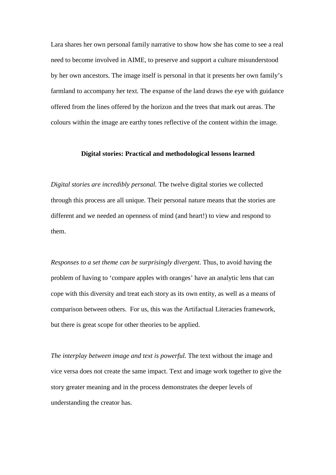Lara shares her own personal family narrative to show how she has come to see a real need to become involved in AIME, to preserve and support a culture misunderstood by her own ancestors. The image itself is personal in that it presents her own family's farmland to accompany her text. The expanse of the land draws the eye with guidance offered from the lines offered by the horizon and the trees that mark out areas. The colours within the image are earthy tones reflective of the content within the image.

#### **Digital stories: Practical and methodological lessons learned**

*Digital stories are incredibly personal.* The twelve digital stories we collected through this process are all unique. Their personal nature means that the stories are different and we needed an openness of mind (and heart!) to view and respond to them.

*Responses to a set theme can be surprisingly divergent*. Thus, to avoid having the problem of having to 'compare apples with oranges' have an analytic lens that can cope with this diversity and treat each story as its own entity, as well as a means of comparison between others. For us, this was the Artifactual Literacies framework, but there is great scope for other theories to be applied.

*The interplay between image and text is powerful.* The text without the image and vice versa does not create the same impact. Text and image work together to give the story greater meaning and in the process demonstrates the deeper levels of understanding the creator has.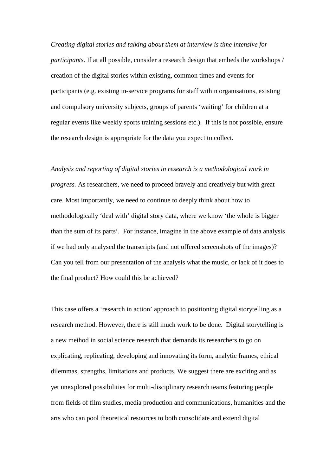*Creating digital stories and talking about them at interview is time intensive for participants*. If at all possible, consider a research design that embeds the workshops / creation of the digital stories within existing, common times and events for participants (e.g. existing in-service programs for staff within organisations, existing and compulsory university subjects, groups of parents 'waiting' for children at a regular events like weekly sports training sessions etc.). If this is not possible, ensure the research design is appropriate for the data you expect to collect.

*Analysis and reporting of digital stories in research is a methodological work in progress.* As researchers, we need to proceed bravely and creatively but with great care. Most importantly, we need to continue to deeply think about how to methodologically 'deal with' digital story data, where we know 'the whole is bigger than the sum of its parts'. For instance, imagine in the above example of data analysis if we had only analysed the transcripts (and not offered screenshots of the images)? Can you tell from our presentation of the analysis what the music, or lack of it does to the final product? How could this be achieved?

This case offers a 'research in action' approach to positioning digital storytelling as a research method. However, there is still much work to be done. Digital storytelling is a new method in social science research that demands its researchers to go on explicating, replicating, developing and innovating its form, analytic frames, ethical dilemmas, strengths, limitations and products. We suggest there are exciting and as yet unexplored possibilities for multi-disciplinary research teams featuring people from fields of film studies, media production and communications, humanities and the arts who can pool theoretical resources to both consolidate and extend digital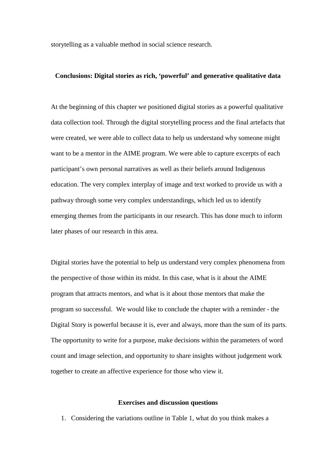storytelling as a valuable method in social science research.

#### **Conclusions: Digital stories as rich, 'powerful' and generative qualitative data**

At the beginning of this chapter we positioned digital stories as a powerful qualitative data collection tool. Through the digital storytelling process and the final artefacts that were created, we were able to collect data to help us understand why someone might want to be a mentor in the AIME program. We were able to capture excerpts of each participant's own personal narratives as well as their beliefs around Indigenous education. The very complex interplay of image and text worked to provide us with a pathway through some very complex understandings, which led us to identify emerging themes from the participants in our research. This has done much to inform later phases of our research in this area.

Digital stories have the potential to help us understand very complex phenomena from the perspective of those within its midst. In this case, what is it about the AIME program that attracts mentors, and what is it about those mentors that make the program so successful. We would like to conclude the chapter with a reminder - the Digital Story is powerful because it is, ever and always, more than the sum of its parts. The opportunity to write for a purpose, make decisions within the parameters of word count and image selection, and opportunity to share insights without judgement work together to create an affective experience for those who view it.

#### **Exercises and discussion questions**

1. Considering the variations outline in Table 1, what do you think makes a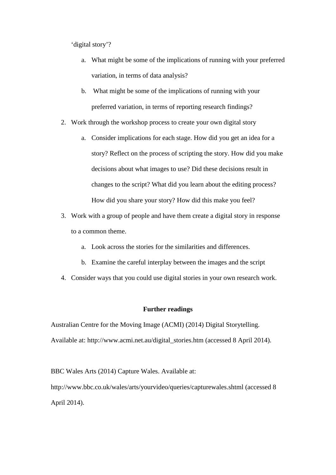'digital story'?

- a. What might be some of the implications of running with your preferred variation, in terms of data analysis?
- b. What might be some of the implications of running with your preferred variation, in terms of reporting research findings?
- 2. Work through the workshop process to create your own digital story
	- a. Consider implications for each stage. How did you get an idea for a story? Reflect on the process of scripting the story. How did you make decisions about what images to use? Did these decisions result in changes to the script? What did you learn about the editing process? How did you share your story? How did this make you feel?
- 3. Work with a group of people and have them create a digital story in response to a common theme.
	- a. Look across the stories for the similarities and differences.
	- b. Examine the careful interplay between the images and the script
- 4. Consider ways that you could use digital stories in your own research work.

## **Further readings**

Australian Centre for the Moving Image (ACMI) (2014) Digital Storytelling. Available at: http://www.acmi.net.au/digital\_stories.htm (accessed 8 April 2014).

BBC Wales Arts (2014) Capture Wales. Available at:

<http://www.bbc.co.uk/wales/arts/yourvideo/queries/capturewales.shtml> (accessed 8 April 2014).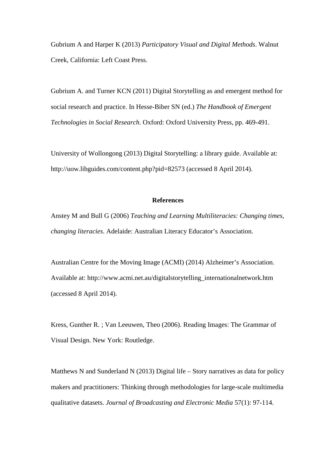Gubrium A and Harper K (2013) *Participatory Visual and Digital Methods*. Walnut Creek, California: Left Coast Press.

Gubrium A. and Turner KCN (2011) Digital Storytelling as and emergent method for social research and practice. In Hesse-Biber SN (ed.) *The Handbook of Emergent Technologies in Social Research*. Oxford: Oxford University Press, pp. 469-491.

University of Wollongong (2013) Digital Storytelling: a library guide. Available at: <http://uow.libguides.com/content.php?pid=82573> (accessed 8 April 2014).

## **References**

Anstey M and Bull G (2006) *Teaching and Learning Multiliteracies: Changing times, changing literacies*. Adelaide: Australian Literacy Educator's Association.

Australian Centre for the Moving Image (ACMI) (2014) Alzheimer's Association. Available at: [http://www.acmi.net.au/digitalstorytelling\\_internationalnetwork.htm](http://www.acmi.net.au/digitalstorytelling_internationalnetwork.htm) (accessed 8 April 2014).

Kress, Gunther R. ; Van Leeuwen, Theo (2006). Reading Images: The Grammar of Visual Design. New York: Routledge.

Matthews N and Sunderland N (2013) Digital life – Story narratives as data for policy makers and practitioners: Thinking through methodologies for large-scale multimedia qualitative datasets. *Journal of Broadcasting and Electronic Media* 57(1): 97-114.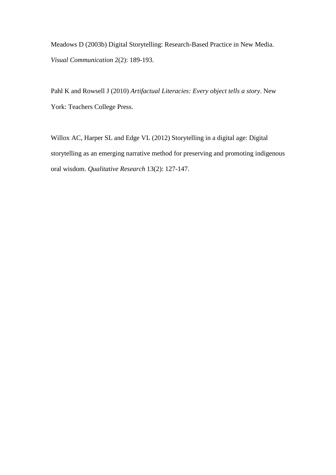Meadows D (2003b) Digital Storytelling: Research-Based Practice in New Media. *Visual Communication* 2(2): 189-193.

Pahl K and Rowsell J (2010) *Artifactual Literacies: Every object tells a story*. New York: Teachers College Press.

Willox AC, Harper SL and Edge VL (2012) Storytelling in a digital age: Digital storytelling as an emerging narrative method for preserving and promoting indigenous oral wisdom. *Qualitative Research* 13(2): 127-147.